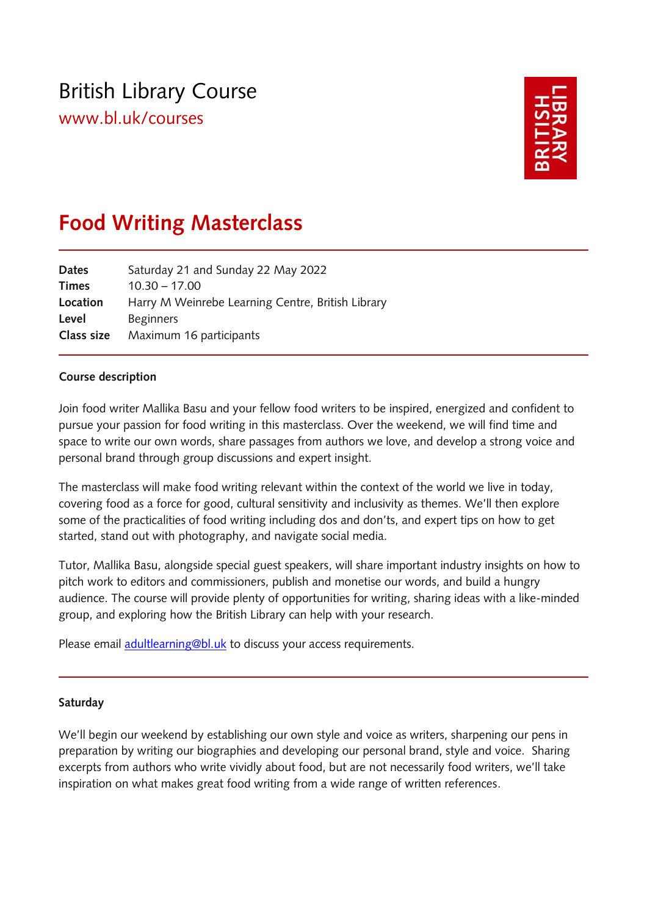# British Library Course

[www.bl.uk/courses](http://www.bl.uk/courses)



# **Food Writing Masterclass**

| Saturday 21 and Sunday 22 May 2022                |
|---------------------------------------------------|
| $10.30 - 17.00$                                   |
| Harry M Weinrebe Learning Centre, British Library |
| <b>Beginners</b>                                  |
| Maximum 16 participants                           |
|                                                   |

## **Course description**

Join food writer Mallika Basu and your fellow food writers to be inspired, energized and confident to pursue your passion for food writing in this masterclass. Over the weekend, we will find time and space to write our own words, share passages from authors we love, and develop a strong voice and personal brand through group discussions and expert insight.

The masterclass will make food writing relevant within the context of the world we live in today, covering food as a force for good, cultural sensitivity and inclusivity as themes. We'll then explore some of the practicalities of food writing including dos and don'ts, and expert tips on how to get started, stand out with photography, and navigate social media.

Tutor, Mallika Basu, alongside special guest speakers, will share important industry insights on how to pitch work to editors and commissioners, publish and monetise our words, and build a hungry audience. The course will provide plenty of opportunities for writing, sharing ideas with a like-minded group, and exploring how the British Library can help with your research.

Please email **adultlearning@bl.uk** to discuss your access requirements.

#### **Saturday**

We'll begin our weekend by establishing our own style and voice as writers, sharpening our pens in preparation by writing our biographies and developing our personal brand, style and voice. Sharing excerpts from authors who write vividly about food, but are not necessarily food writers, we'll take inspiration on what makes great food writing from a wide range of written references.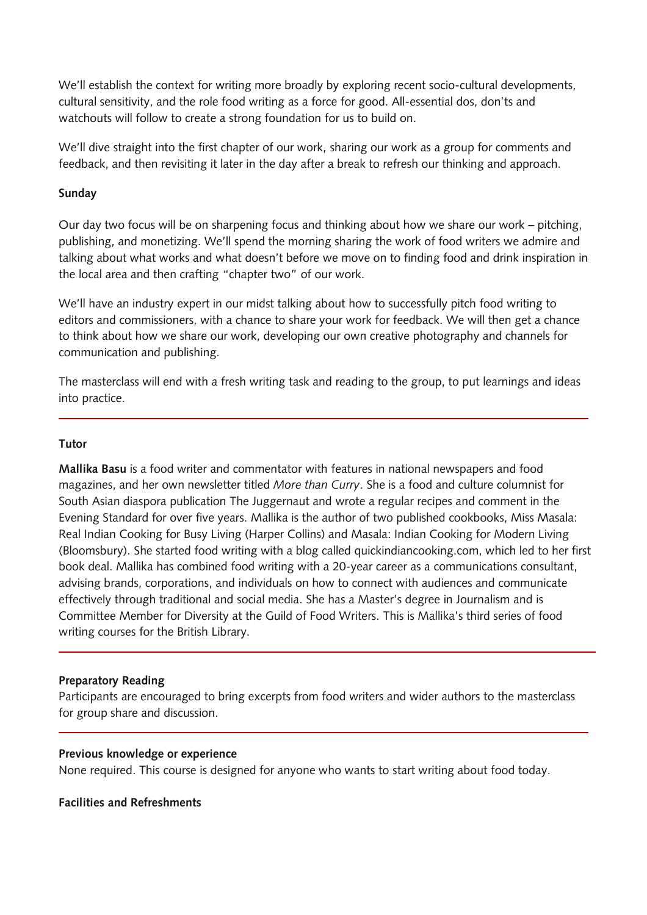We'll establish the context for writing more broadly by exploring recent socio-cultural developments, cultural sensitivity, and the role food writing as a force for good. All-essential dos, don'ts and watchouts will follow to create a strong foundation for us to build on.

We'll dive straight into the first chapter of our work, sharing our work as a group for comments and feedback, and then revisiting it later in the day after a break to refresh our thinking and approach.

#### **Sunday**

Our day two focus will be on sharpening focus and thinking about how we share our work – pitching, publishing, and monetizing. We'll spend the morning sharing the work of food writers we admire and talking about what works and what doesn't before we move on to finding food and drink inspiration in the local area and then crafting "chapter two" of our work.

We'll have an industry expert in our midst talking about how to successfully pitch food writing to editors and commissioners, with a chance to share your work for feedback. We will then get a chance to think about how we share our work, developing our own creative photography and channels for communication and publishing.

The masterclass will end with a fresh writing task and reading to the group, to put learnings and ideas into practice.

#### **Tutor**

**Mallika Basu** is a food writer and commentator with features in national newspapers and food magazines, and her own newsletter titled *More than Curry*. She is a food and culture columnist for South Asian diaspora publication The Juggernaut and wrote a regular recipes and comment in the Evening Standard for over five years. Mallika is the author of two published cookbooks, Miss Masala: Real Indian Cooking for Busy Living (Harper Collins) and Masala: Indian Cooking for Modern Living (Bloomsbury). She started food writing with a blog called quickindiancooking.com, which led to her first book deal. Mallika has combined food writing with a 20-year career as a communications consultant, advising brands, corporations, and individuals on how to connect with audiences and communicate effectively through traditional and social media. She has a Master's degree in Journalism and is Committee Member for Diversity at the Guild of Food Writers. This is Mallika's third series of food writing courses for the British Library.

# **Preparatory Reading**

Participants are encouraged to bring excerpts from food writers and wider authors to the masterclass for group share and discussion.

#### **Previous knowledge or experience**

None required. This course is designed for anyone who wants to start writing about food today.

#### **Facilities and Refreshments**